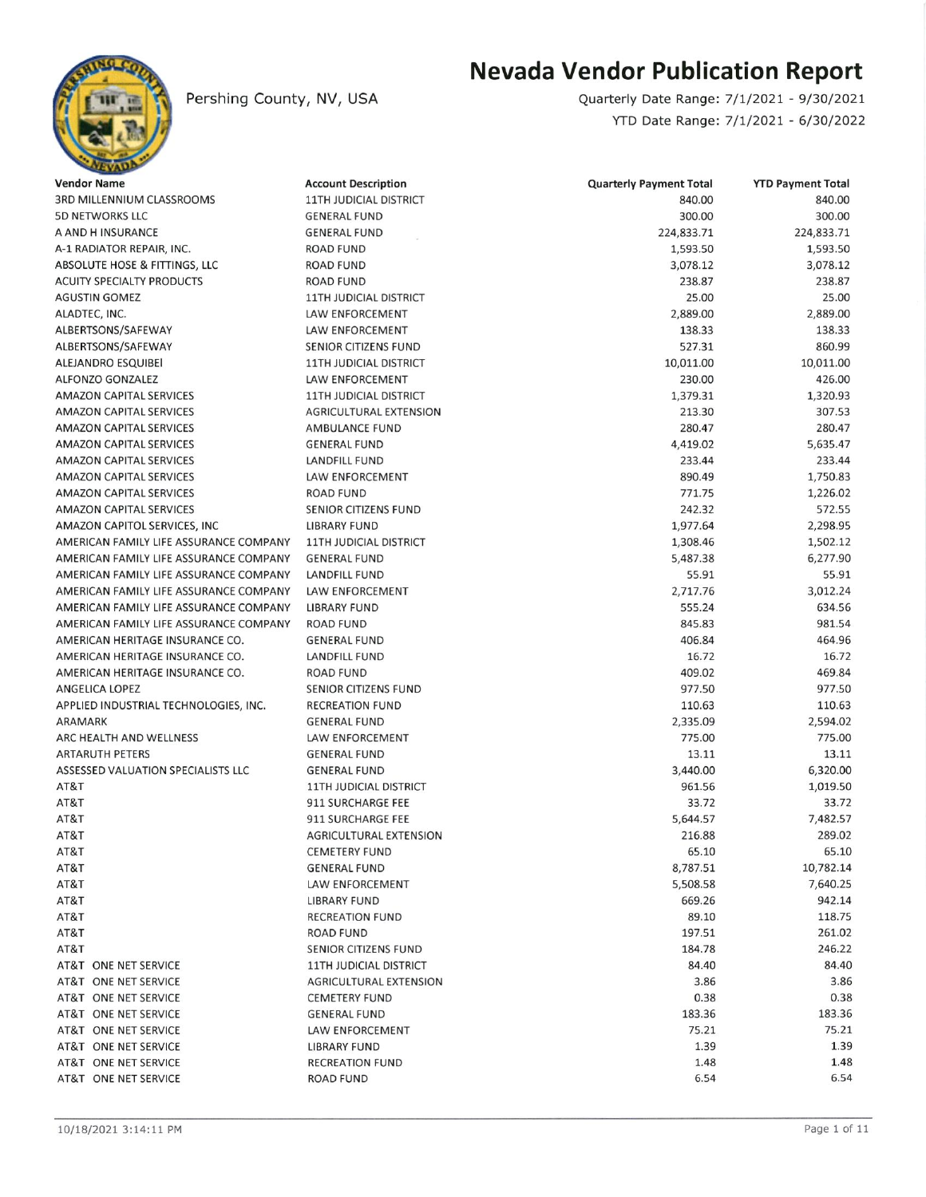

Pershing County, NV, USA

## Nevada Vendor Publication Report

YTD Date Range: 7/1/2021 - 6/30/2022 Quarterly Date Range: 7/1/2021 - 9/30/2021

| <b>Vendor Name</b>                           | <b>Account Description</b>                  | <b>Quarterly Payment Total</b> | <b>YTD Payment Total</b> |
|----------------------------------------------|---------------------------------------------|--------------------------------|--------------------------|
| 3RD MILLENNIUM CLASSROOMS                    | <b>11TH JUDICIAL DISTRICT</b>               | 840.00                         | 840.00                   |
| <b>5D NETWORKS LLC</b>                       | <b>GENERAL FUND</b>                         | 300.00                         | 300.00                   |
| A AND H INSURANCE                            | <b>GENERAL FUND</b>                         | 224,833.71                     | 224,833.71               |
| A-1 RADIATOR REPAIR, INC.                    | <b>ROAD FUND</b>                            | 1,593.50                       | 1,593.50                 |
| ABSOLUTE HOSE & FITTINGS, LLC                | <b>ROAD FUND</b>                            | 3,078.12                       | 3,078.12                 |
| <b>ACUITY SPECIALTY PRODUCTS</b>             | <b>ROAD FUND</b>                            | 238.87                         | 238.87                   |
| <b>AGUSTIN GOMEZ</b>                         | <b>11TH JUDICIAL DISTRICT</b>               | 25.00                          | 25.00                    |
| ALADTEC, INC.                                | LAW ENFORCEMENT                             | 2,889.00                       | 2,889.00                 |
| ALBERTSONS/SAFEWAY                           | LAW ENFORCEMENT                             | 138.33                         | 138.33                   |
| ALBERTSONS/SAFEWAY                           | SENIOR CITIZENS FUND                        | 527.31                         | 860.99                   |
| ALEJANDRO ESQUIBEI                           | <b>11TH JUDICIAL DISTRICT</b>               | 10,011.00                      | 10,011.00                |
| <b>ALFONZO GONZALEZ</b>                      | LAW ENFORCEMENT                             | 230.00                         | 426.00                   |
| <b>AMAZON CAPITAL SERVICES</b>               | <b>11TH JUDICIAL DISTRICT</b>               | 1,379.31                       | 1,320.93                 |
| <b>AMAZON CAPITAL SERVICES</b>               | <b>AGRICULTURAL EXTENSION</b>               | 213.30                         | 307.53                   |
| <b>AMAZON CAPITAL SERVICES</b>               | AMBULANCE FUND                              | 280.47                         | 280.47                   |
| <b>AMAZON CAPITAL SERVICES</b>               | <b>GENERAL FUND</b>                         | 4,419.02                       | 5,635.47                 |
| <b>AMAZON CAPITAL SERVICES</b>               | LANDFILL FUND                               | 233.44                         | 233.44                   |
| <b>AMAZON CAPITAL SERVICES</b>               | LAW ENFORCEMENT                             | 890.49                         | 1,750.83                 |
| <b>AMAZON CAPITAL SERVICES</b>               | <b>ROAD FUND</b>                            | 771.75                         | 1,226.02                 |
| <b>AMAZON CAPITAL SERVICES</b>               | SENIOR CITIZENS FUND                        | 242.32                         | 572.55                   |
| AMAZON CAPITOL SERVICES, INC                 | <b>LIBRARY FUND</b>                         | 1,977.64                       | 2,298.95                 |
| AMERICAN FAMILY LIFE ASSURANCE COMPANY       | <b>11TH JUDICIAL DISTRICT</b>               | 1,308.46                       | 1,502.12                 |
| AMERICAN FAMILY LIFE ASSURANCE COMPANY       | <b>GENERAL FUND</b>                         | 5,487.38                       | 6,277.90                 |
| AMERICAN FAMILY LIFE ASSURANCE COMPANY       | <b>LANDFILL FUND</b>                        | 55.91                          | 55.91                    |
| AMERICAN FAMILY LIFE ASSURANCE COMPANY       | LAW ENFORCEMENT                             | 2,717.76                       | 3,012.24                 |
| AMERICAN FAMILY LIFE ASSURANCE COMPANY       | <b>LIBRARY FUND</b>                         | 555.24                         | 634.56                   |
| AMERICAN FAMILY LIFE ASSURANCE COMPANY       | <b>ROAD FUND</b>                            | 845.83                         | 981.54                   |
| AMERICAN HERITAGE INSURANCE CO.              | <b>GENERAL FUND</b>                         | 406.84                         | 464.96                   |
| AMERICAN HERITAGE INSURANCE CO.              | <b>LANDFILL FUND</b>                        | 16.72                          | 16.72                    |
| AMERICAN HERITAGE INSURANCE CO.              | <b>ROAD FUND</b>                            | 409.02                         | 469.84                   |
| ANGELICA LOPEZ                               | SENIOR CITIZENS FUND                        | 977.50                         | 977.50                   |
| APPLIED INDUSTRIAL TECHNOLOGIES, INC.        | <b>RECREATION FUND</b>                      | 110.63                         | 110.63                   |
| ARAMARK                                      | <b>GENERAL FUND</b>                         | 2,335.09                       | 2,594.02                 |
| ARC HEALTH AND WELLNESS                      | LAW ENFORCEMENT                             | 775.00                         | 775.00                   |
| <b>ARTARUTH PETERS</b>                       | <b>GENERAL FUND</b>                         | 13.11                          | 13.11                    |
| <b>ASSESSED VALUATION SPECIALISTS LLC</b>    | <b>GENERAL FUND</b>                         | 3,440.00                       | 6,320.00                 |
| AT&T                                         | <b>11TH JUDICIAL DISTRICT</b>               | 961.56                         | 1,019.50                 |
| AT&T                                         | 911 SURCHARGE FEE                           | 33.72                          | 33.72                    |
| AT&T                                         | 911 SURCHARGE FEE                           | 5,644.57                       | 7,482.57                 |
| AT&T                                         | AGRICULTURAL EXTENSION                      | 216.88                         | 289.02                   |
| AT&T                                         | <b>CEMETERY FUND</b>                        | 65.10                          | 65.10                    |
| AT&T                                         | <b>GENERAL FUND</b>                         | 8,787.51                       | 10,782.14                |
| AT&T                                         | LAW ENFORCEMENT                             | 5,508.58                       | 7,640.25                 |
| AT&T                                         | LIBRARY FUND                                | 669.26                         | 942.14                   |
| AT&T                                         | <b>RECREATION FUND</b>                      | 89.10                          | 118.75                   |
| AT&T                                         | <b>ROAD FUND</b>                            | 197.51                         | 261.02                   |
| AT&T                                         | SENIOR CITIZENS FUND                        | 184.78                         | 246.22                   |
| AT&T ONE NET SERVICE                         | <b>11TH JUDICIAL DISTRICT</b>               | 84.40                          | 84.40                    |
|                                              |                                             | 3.86                           | 3.86                     |
| AT&T ONE NET SERVICE<br>AT&T ONE NET SERVICE | AGRICULTURAL EXTENSION                      | 0.38                           | 0.38                     |
| AT&T ONE NET SERVICE                         | <b>CEMETERY FUND</b><br><b>GENERAL FUND</b> | 183.36                         | 183.36                   |
| AT&T ONE NET SERVICE                         | LAW ENFORCEMENT                             | 75.21                          | 75.21                    |
|                                              |                                             | 1.39                           | 1.39                     |
| AT&T ONE NET SERVICE                         | <b>LIBRARY FUND</b>                         | 1.48                           | 1.48                     |
| AT&T ONE NET SERVICE                         | <b>RECREATION FUND</b>                      | 6.54                           | 6.54                     |
| AT&T ONE NET SERVICE                         | <b>ROAD FUND</b>                            |                                |                          |